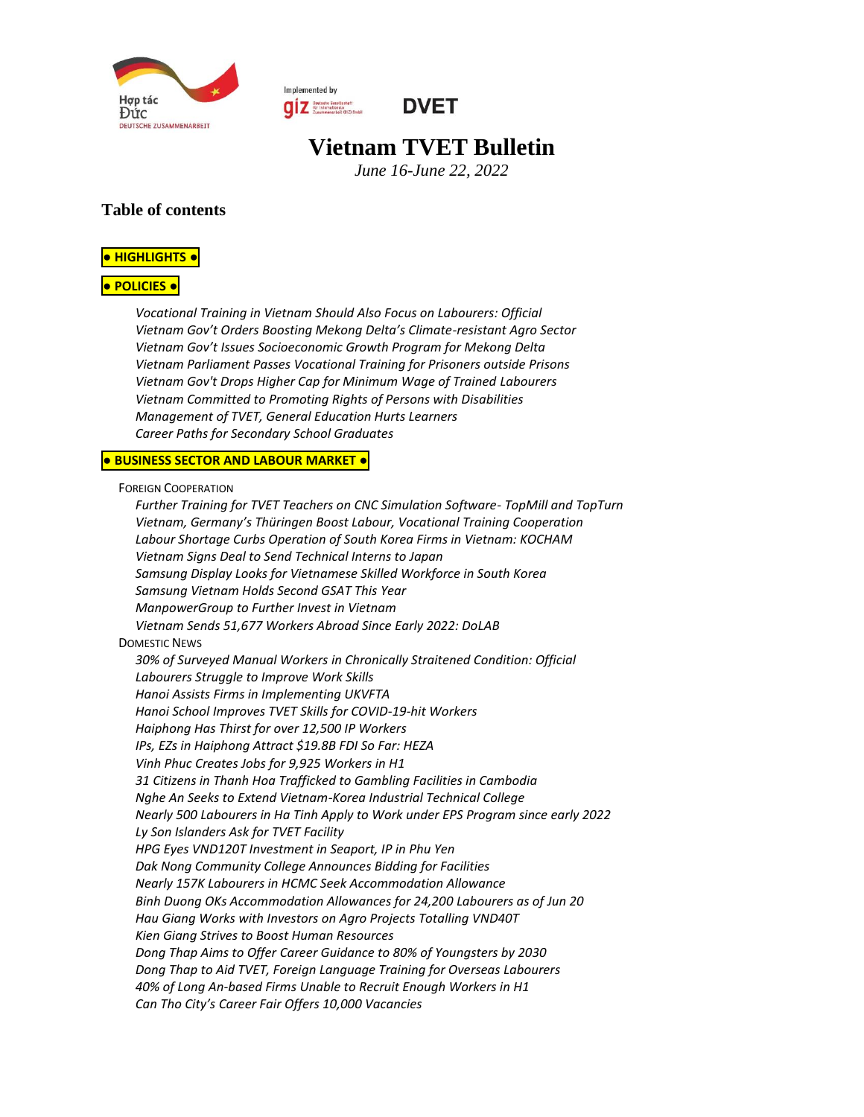

Implemented by **ONE Server Secret Secret Server Server Server Server Server Server Server Server Server Server Server Server Server Server Server Server Server Server Server Server Server Server Server Server Server Server Server Server** 



# **Vietnam TVET Bulletin**

*June 16-June 22, 2022*

#### **Table of contents**

#### **● [HIGHLIGHTS](#page-1-0) ●**

#### **● [POLICIES](#page-1-1) ●**

*[Vocational Training in Vietnam Should Also Focus on Labourers: Official](#page-1-2) [Vietnam Gov't Orders Boosting Mekong Delta's Climate](#page-1-3)-resistant Agro Sector Vietnam Gov['t Issues Socioeconomic Growth Program for Mekong Delta](#page-1-4) [Vietnam Parliament Passes Vocational Training for Prisoners outside Prisons](#page-1-5) [Vietnam Gov't Drops Higher Cap for Minimum Wage of Trained](#page-2-0) Labourers [Vietnam Committed to Promoting Rights of Persons with Disabilities](#page-2-1) [Management of TVET, General Education Hurts Learners](#page-2-2) [Career Paths for Secondary](#page-3-0) School Graduates*

#### **● [BUSINESS](#page-3-1) SECTOR AND LABOUR MARKET ●**

#### FOREIGN C[OOPERATION](#page-3-2)

*[Further Training for TVET Teachers on CNC Simulation Software-](#page-3-3) TopMill and TopTurn [Vietnam, Germany's Thüringen Boost Labour, Vocational Training Cooperation](#page-3-4) [Labour Shortage Curbs Operation of South Korea Firms in Vietnam: KOCHAM](#page-4-0) [Vietnam Signs Deal to Send Technical Interns to Japan](#page-4-1) [Samsung Display Looks for Vietnamese Skilled Workforce in South Korea](#page-4-2) [Samsung Vietnam Holds Second GSAT This Year](#page-4-3) [ManpowerGroup to Further Invest in Vietnam](#page-5-0) [Vietnam Sends 51,677 Workers Abroad Since Early 2022: DoLAB](#page-5-1)* D[OMESTIC](#page-5-2) NEWS *[30% of Surveyed Manual Workers in Chronically Straitened Condition: Official](#page-5-3) [Labourers Struggle to Improve Work Skills](#page-6-0) [Hanoi Assists Firms in Implementing UKVFTA](#page-6-1) Hanoi School Improves TVET [Skills for COVID-19-hit Workers](#page-6-2) [Haiphong Has Thirst for over 12,500 IP Workers](#page-6-3) [IPs, EZs in Haiphong Attract \\$19.8B FDI So Far: HEZA](#page-6-4) [Vinh Phuc Creates Jobs for 9,925 Workers in H1](#page-7-0) [31 Citizens in Thanh Hoa Trafficked to Gambling Facilities in Cambodia](#page-7-1) [Nghe An Seeks to Extend Vietnam-Korea Industrial Technical College](#page-7-2) [Nearly 500 Labourers in Ha Tinh Apply to Work under EPS Program since early 2022](#page-7-3) [Ly Son Islanders Ask for TVET Facility](#page-7-4) [HPG Eyes VND120T Investment in Seaport, IP in Phu Yen](#page-8-0) [Dak Nong Community College Announces Bidding for Facilities](#page-8-1) [Nearly 157K Labourers in HCMC Seek Accommodation Allowance](#page-8-2) [Binh Duong OKs Accommodation Allowances for 24,200 Labourers as of Jun 20](#page-8-3) [Hau Giang Works with Investors on Agro Projects Totalling VND40T](#page-8-4) [Kien Giang Strives to Boost Human Resources](#page-8-5) Dong Thap Aims to Offer [Career Guidance to 80% of Youngsters by 2030](#page-9-0) [Dong Thap to Aid TVET, Foreign Language Training for Overseas Labourers](#page-9-1) [40% of Long An-based Firms Unable to Recruit Enough Workers in H1](#page-9-2) [Can Tho City's Career Fair Offers 10,000 Vacancies](#page-9-3)*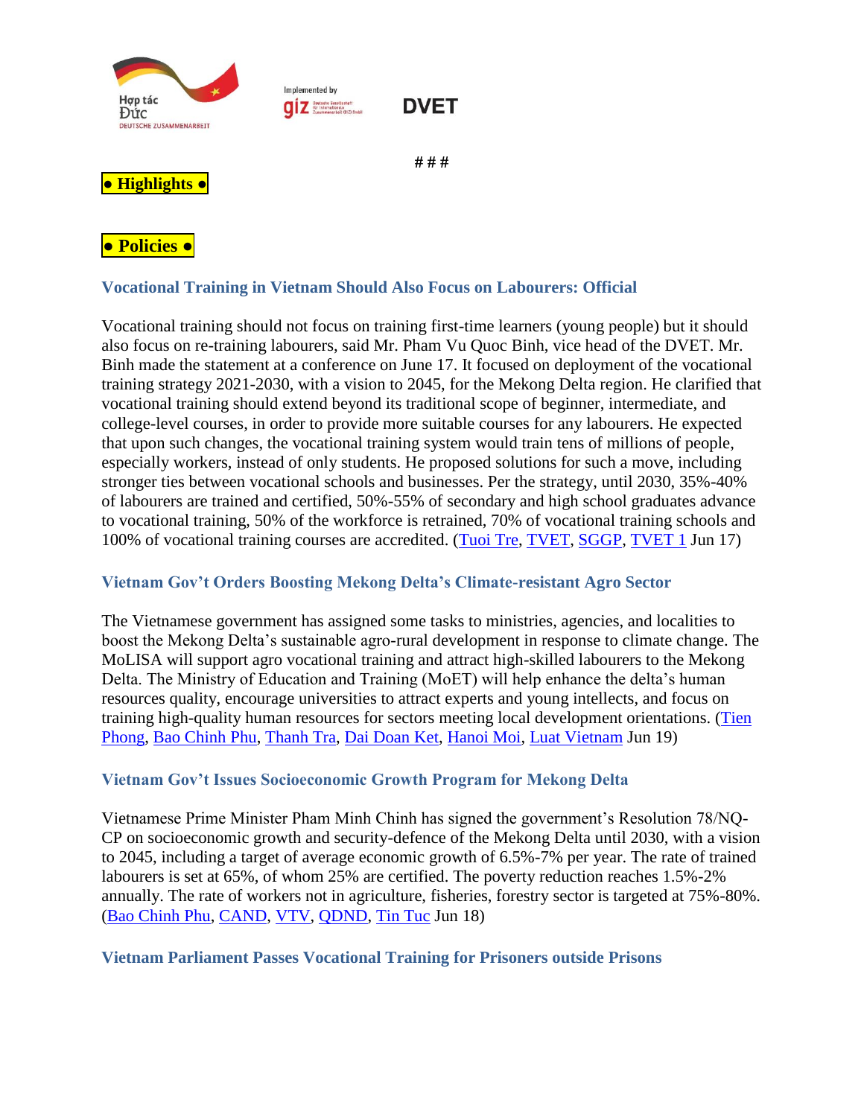

Implemented by **ONE Deutsche Gesellschaft**<br>
Eusemmenarbeit (Si2) SmbH



#### **# # #**

# <span id="page-1-0"></span>**● Highlights ●**

<span id="page-1-1"></span>

## <span id="page-1-2"></span>**Vocational Training in Vietnam Should Also Focus on Labourers: Official**

Vocational training should not focus on training first-time learners (young people) but it should also focus on re-training labourers, said Mr. Pham Vu Quoc Binh, vice head of the DVET. Mr. Binh made the statement at a conference on June 17. It focused on deployment of the vocational training strategy 2021-2030, with a vision to 2045, for the Mekong Delta region. He clarified that vocational training should extend beyond its traditional scope of beginner, intermediate, and college-level courses, in order to provide more suitable courses for any labourers. He expected that upon such changes, the vocational training system would train tens of millions of people, especially workers, instead of only students. He proposed solutions for such a move, including stronger ties between vocational schools and businesses. Per the strategy, until 2030, 35%-40% of labourers are trained and certified, 50%-55% of secondary and high school graduates advance to vocational training, 50% of the workforce is retrained, 70% of vocational training schools and 100% of vocational training courses are accredited. [\(Tuoi Tre,](https://tuoitre.vn/day-nghe-se-khong-tap-trung-vao-he-chinh-quy-20220617175312824.htm) [TVET,](http://gdnn.gov.vn/AIAdmin/News/View/tabid/66/newsid/39285/seo/Nguoi-lao-dong-khong-co-ky-nang-se-khong-duoc-tuyen-dung/Default.aspx#related) [SGGP,](https://www.sggp.org.vn/2-dot-pha-de-giao-duc-nghe-nghiep-bat-kip-trinh-do-cua-the-gioi-821440.html#related) [TVET 1](http://gdnn.gov.vn/AIAdmin/News/View/tabid/66/newsid/39284/seo/Chuyen-doi-so-la-co-hoi-de-nganh-giao-duc-nghe-nghiep-chuyen-minh/Default.aspx#related) Jun 17)

### <span id="page-1-3"></span>**Vietnam Gov't Orders Boosting Mekong Delta's Climate-resistant Agro Sector**

The Vietnamese government has assigned some tasks to ministries, agencies, and localities to boost the Mekong Delta's sustainable agro-rural development in response to climate change. The MoLISA will support agro vocational training and attract high-skilled labourers to the Mekong Delta. The Ministry of Education and Training (MoET) will help enhance the delta's human resources quality, encourage universities to attract experts and young intellects, and focus on training high-quality human resources for sectors meeting local development orientations. [\(Tien](https://tienphong.vn/dong-bang-song-cuu-long-can-tu-duy-dot-pha-thich-ung-chu-dong-post1447141.tpo)  [Phong,](https://tienphong.vn/dong-bang-song-cuu-long-can-tu-duy-dot-pha-thich-ung-chu-dong-post1447141.tpo) [Bao Chinh Phu,](https://baochinhphu.vn/doi-moi-tu-duy-thuc-day-phat-trien-nong-nghiep-va-nong-thon-ben-vung-vung-dbscl-102220618103107424.htm#related) [Thanh Tra,](https://thanhtra.com.vn/kinh-te/dau-tu/bo-tri-kinh-phi-thuc-hien-cac-chuong-trinh-phat-trien-nong-nghiep-nong-thon-vung-dbscl-198529.html#related) [Dai Doan Ket,](http://daidoanket.vn/phat-trien-nong-nghiep-va-nong-thon-ben-vung-vung-dong-bang-song-cuu-long-tu-duy-dot-pha-tam-nhin-chien-luoc-5689208.html#related) [Hanoi Moi,](http://hanoimoi.com.vn/tin-tuc/Nong-nghiep/1034889/thuc-day-phat-trien-ben-vung-nong-nghiep-va-nong-thon-vung-dong-bang-song-cuu-long#related) [Luat Vietnam](https://luatvietnam.vn/tai-nguyen/chi-thi-10-ct-ttg-2022-phat-trien-nong-nghiep-va-nong-thon-ben-vung-vung-dbs-cuu-long-222765-d1.html#related) Jun 19)

## <span id="page-1-4"></span>**Vietnam Gov't Issues Socioeconomic Growth Program for Mekong Delta**

Vietnamese Prime Minister Pham Minh Chinh has signed the government's Resolution 78/NQ-CP on socioeconomic growth and security-defence of the Mekong Delta until 2030, with a vision to 2045, including a target of average economic growth of 6.5%-7% per year. The rate of trained labourers is set at 65%, of whom 25% are certified. The poverty reduction reaches 1.5%-2% annually. The rate of workers not in agriculture, fisheries, forestry sector is targeted at 75%-80%. [\(Bao Chinh Phu,](https://baochinhphu.vn/chinh-phu-ban-hanh-chuong-trinh-hanh-dong-phat-trien-kinh-te-xa-hoi-vung-dong-bang-song-cuu-long-102220618200951566.htm) [CAND,](https://cand.com.vn/su-kien-binh-luan-thoi-su/chinh-phu-ban-hanh-chuong-trinh-hanh-dong-phat-trien-kinh-te-xa-hoi-vung-dong-bang-song-cuu-long-i657606/#related) [VTV,](https://vtv.vn/quy-hoach-vung-dong-bang-song-cuu-long.html#related) [QDND,](https://www.qdnd.vn/kinh-te/tin-tuc/hoan-thien-the-che-chinh-sach-phat-trien-vung-dong-bang-song-cuu-long-697616#related) [Tin Tuc](https://baotintuc.vn/thoi-su/chuong-trinh-hanh-dong-phat-trien-ktxh-vung-dong-bang-song-cuu-long-20220618224730532.htm#related) Jun 18)

### <span id="page-1-5"></span>**Vietnam Parliament Passes Vocational Training for Prisoners outside Prisons**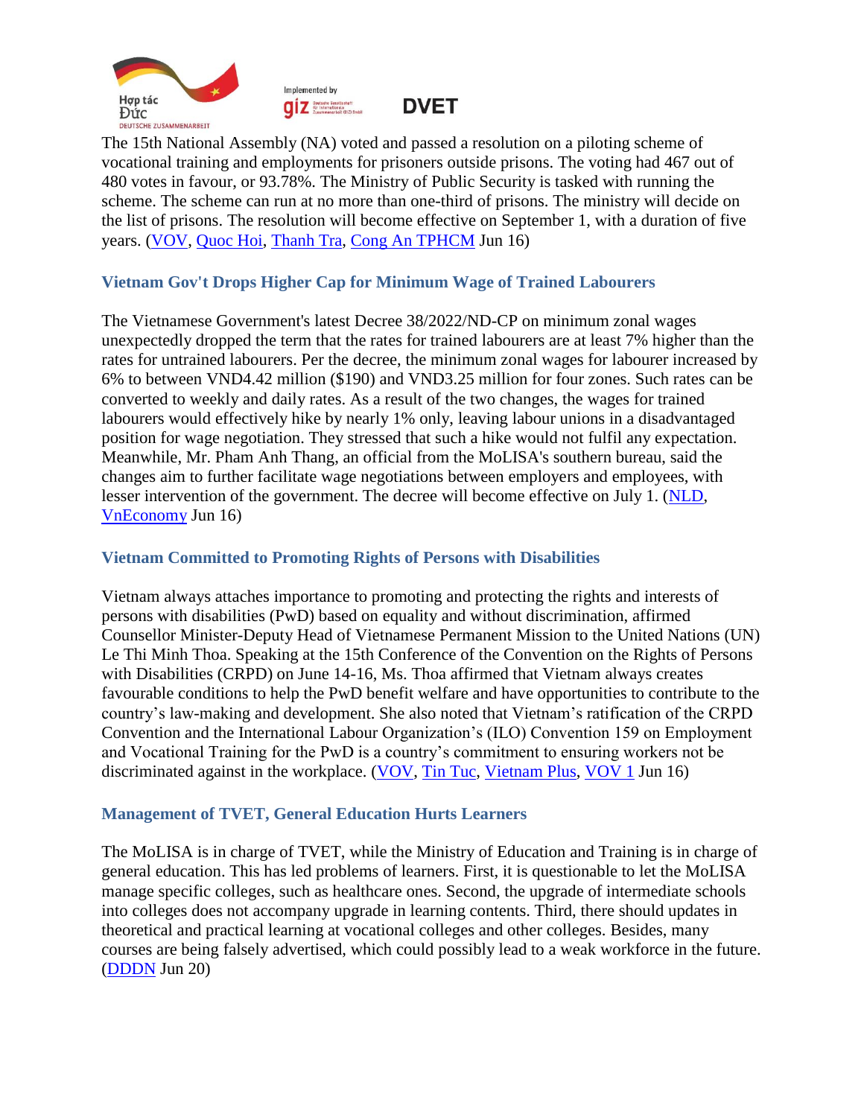



**DVET** 

The 15th National Assembly (NA) voted and passed a resolution on a piloting scheme of vocational training and employments for prisoners outside prisons. The voting had 467 out of 480 votes in favour, or 93.78%. The Ministry of Public Security is tasked with running the scheme. The scheme can run at no more than one-third of prisons. The ministry will decide on the list of prisons. The resolution will become effective on September 1, with a duration of five years. [\(VOV,](https://vov.vn/xa-hoi/tin-24h/tu-19-pham-nhan-duoc-ra-ngoai-trai-giam-hoc-nghe-lao-dong-duoc-tra-cong-post950740.vov) [Quoc Hoi,](https://quochoi.vn/tintuc/Pages/tin-hoat-dong-cua-quoc-hoi.aspx?ItemID=65765#related) [Thanh Tra,](https://thanhtra.com.vn/chinh-tri/doi-noi/bo-cong-an-duoc-thi-diem-dua-pham-nhan-ra-ngoai-trai-giam-lao-dong-198452.html#related) [Cong An TPHCM](https://congan.com.vn/tin-chinh/pham-nhan-lao-dong-ngoai-trai-giam-duoc-huong-mot-phan-cong_132639.html#related) Jun 16)

### <span id="page-2-0"></span>**Vietnam Gov't Drops Higher Cap for Minimum Wage of Trained Labourers**

The Vietnamese Government's latest Decree 38/2022/ND-CP on minimum zonal wages unexpectedly dropped the term that the rates for trained labourers are at least 7% higher than the rates for untrained labourers. Per the decree, the minimum zonal wages for labourer increased by 6% to between VND4.42 million (\$190) and VND3.25 million for four zones. Such rates can be converted to weekly and daily rates. As a result of the two changes, the wages for trained labourers would effectively hike by nearly 1% only, leaving labour unions in a disadvantaged position for wage negotiation. They stressed that such a hike would not fulfil any expectation. Meanwhile, Mr. Pham Anh Thang, an official from the MoLISA's southern bureau, said the changes aim to further facilitate wage negotiations between employers and employees, with lesser intervention of the government. The decree will become effective on July 1. [\(NLD,](https://nld.com.vn/cong-doan/bat-ngo-voi-nghi-dinh-luong-toi-thieu-vung-moi-2022061518512862.htm) [VnEconomy](https://vneconomy.vn/bon-thay-doi-ve-luong-toi-thieu-vung-tu-ngay-1-7.htm#related) Jun 16)

#### <span id="page-2-1"></span>**Vietnam Committed to Promoting Rights of Persons with Disabilities**

Vietnam always attaches importance to promoting and protecting the rights and interests of persons with disabilities (PwD) based on equality and without discrimination, affirmed Counsellor Minister-Deputy Head of Vietnamese Permanent Mission to the United Nations (UN) Le Thi Minh Thoa. Speaking at the 15th Conference of the Convention on the Rights of Persons with Disabilities (CRPD) on June 14-16, Ms. Thoa affirmed that Vietnam always creates favourable conditions to help the PwD benefit welfare and have opportunities to contribute to the country's law-making and development. She also noted that Vietnam's ratification of the CRPD Convention and the International Labour Organization's (ILO) Convention 159 on Employment and Vocational Training for the PwD is a country's commitment to ensuring workers not be discriminated against in the workplace. [\(VOV,](https://vov.vn/the-gioi/hoi-nghi-lan-thu-15-cac-nuoc-thanh-vien-cong-uoc-ve-quyen-cua-nguoi-khuyet-tat-post950704.vov) [Tin Tuc,](https://baotintuc.vn/thoi-su/viet-nam-khang-dinh-cam-ket-thuc-day-quyen-cua-nguoi-khuyet-tat-20220616091300831.htm#related) [Vietnam Plus,](https://www.vietnamplus.vn/viet-nam-khang-dinh-cam-ket-thuc-day-quyen-cua-nguoi-khuyet-tat/798054.vnp#:~:text=%C4%90%E1%BA%A1i%20di%E1%BB%87n%20Vi%E1%BB%87t%20Nam%20nh%E1%BA%A5n,x%E1%BB%AD%20t%E1%BA%A1i%20n%C6%A1i%20l%C3%A0m%20vi%E1%BB%87c.) [VOV 1](https://vov.vn/the-gioi/hoi-nghi-lan-thu-15-cac-nuoc-thanh-vien-cong-uoc-ve-quyen-cua-nguoi-khuyet-tat-post950704.vov#related) Jun 16)

### <span id="page-2-2"></span>**Management of TVET, General Education Hurts Learners**

The MoLISA is in charge of TVET, while the Ministry of Education and Training is in charge of general education. This has led problems of learners. First, it is questionable to let the MoLISA manage specific colleges, such as healthcare ones. Second, the upgrade of intermediate schools into colleges does not accompany upgrade in learning contents. Third, there should updates in theoretical and practical learning at vocational colleges and other colleges. Besides, many courses are being falsely advertised, which could possibly lead to a weak workforce in the future. [\(DDDN](https://diendandoanhnghiep.vn/nham-lan-trong-muc-tieu-dao-tao-nguoi-hoc-chiu-thiet-225358.html) Jun 20)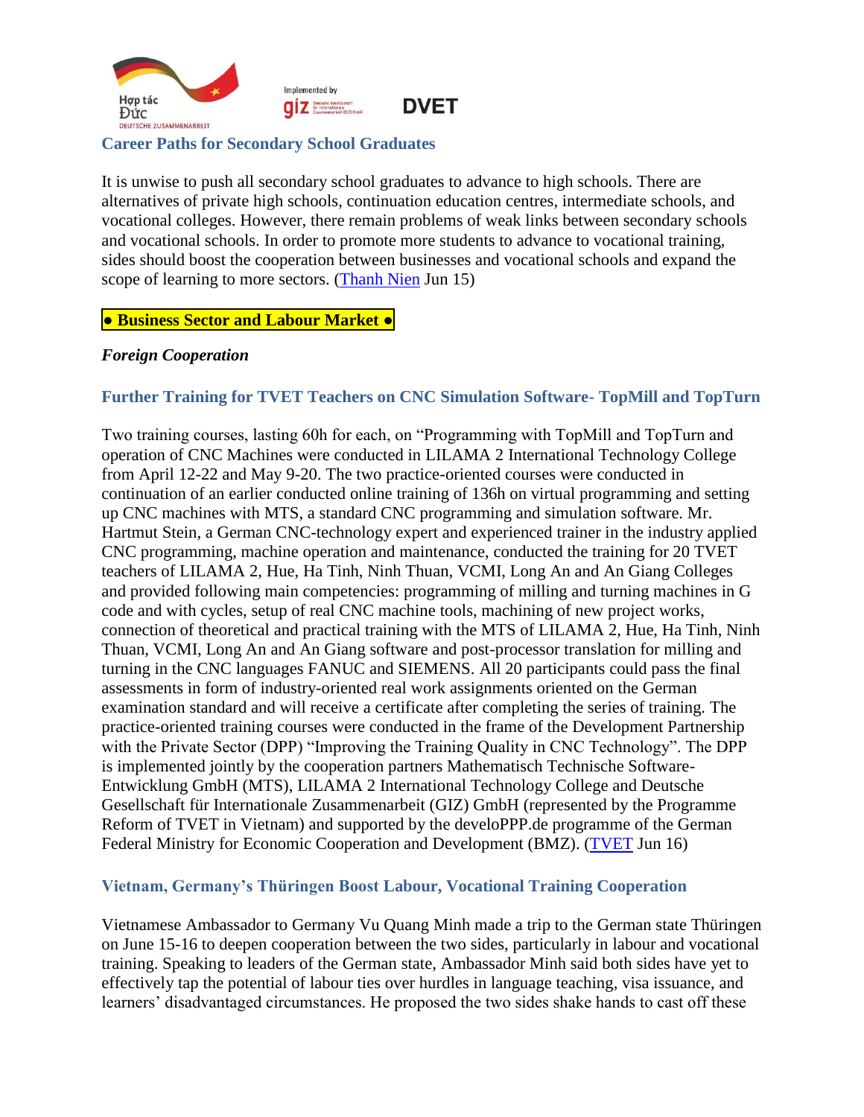

#### <span id="page-3-0"></span>**Career Paths for Secondary School Graduates**

It is unwise to push all secondary school graduates to advance to high schools. There are alternatives of private high schools, continuation education centres, intermediate schools, and vocational colleges. However, there remain problems of weak links between secondary schools and vocational schools. In order to promote more students to advance to vocational training, sides should boost the cooperation between businesses and vocational schools and expand the scope of learning to more sectors. [\(Thanh Nien](https://thanhnien.vn/nhung-huong-di-nao-cho-hoc-sinh-sau-thcs-post1468628.html) Jun 15)

#### <span id="page-3-1"></span>**● Business Sector and Labour Market ●**

#### <span id="page-3-2"></span>*Foreign Cooperation*

#### <span id="page-3-3"></span>**Further Training for TVET Teachers on CNC Simulation Software- TopMill and TopTurn**

Two training courses, lasting 60h for each, on "Programming with TopMill and TopTurn and operation of CNC Machines were conducted in LILAMA 2 International Technology College from April 12-22 and May 9-20. The two practice-oriented courses were conducted in continuation of an earlier conducted online training of 136h on virtual programming and setting up CNC machines with MTS, a standard CNC programming and simulation software. Mr. Hartmut Stein, a German CNC-technology expert and experienced trainer in the industry applied CNC programming, machine operation and maintenance, conducted the training for 20 TVET teachers of LILAMA 2, Hue, Ha Tinh, Ninh Thuan, VCMI, Long An and An Giang Colleges and provided following main competencies: programming of milling and turning machines in G code and with cycles, setup of real CNC machine tools, machining of new project works, connection of theoretical and practical training with the MTS of LILAMA 2, Hue, Ha Tinh, Ninh Thuan, VCMI, Long An and An Giang software and post-processor translation for milling and turning in the CNC languages FANUC and SIEMENS. All 20 participants could pass the final assessments in form of industry-oriented real work assignments oriented on the German examination standard and will receive a certificate after completing the series of training. The practice-oriented training courses were conducted in the frame of the Development Partnership with the Private Sector (DPP) "Improving the Training Quality in CNC Technology". The DPP is implemented jointly by the cooperation partners Mathematisch Technische Software-Entwicklung GmbH (MTS), LILAMA 2 International Technology College and Deutsche Gesellschaft für Internationale Zusammenarbeit (GIZ) GmbH (represented by the Programme Reform of TVET in Vietnam) and supported by the develoPPP.de programme of the German Federal Ministry for Economic Cooperation and Development (BMZ). [\(TVET](https://www.tvet-vietnam.org/archives/news/further-training-for-tvet-teachers-on-cnc-simulation-software-topmill-and-topturn) Jun 16)

#### <span id="page-3-4"></span>**Vietnam, Germany's Thüringen Boost Labour, Vocational Training Cooperation**

Vietnamese Ambassador to Germany Vu Quang Minh made a trip to the German state Thüringen on June 15-16 to deepen cooperation between the two sides, particularly in labour and vocational training. Speaking to leaders of the German state, Ambassador Minh said both sides have yet to effectively tap the potential of labour ties over hurdles in language teaching, visa issuance, and learners' disadvantaged circumstances. He proposed the two sides shake hands to cast off these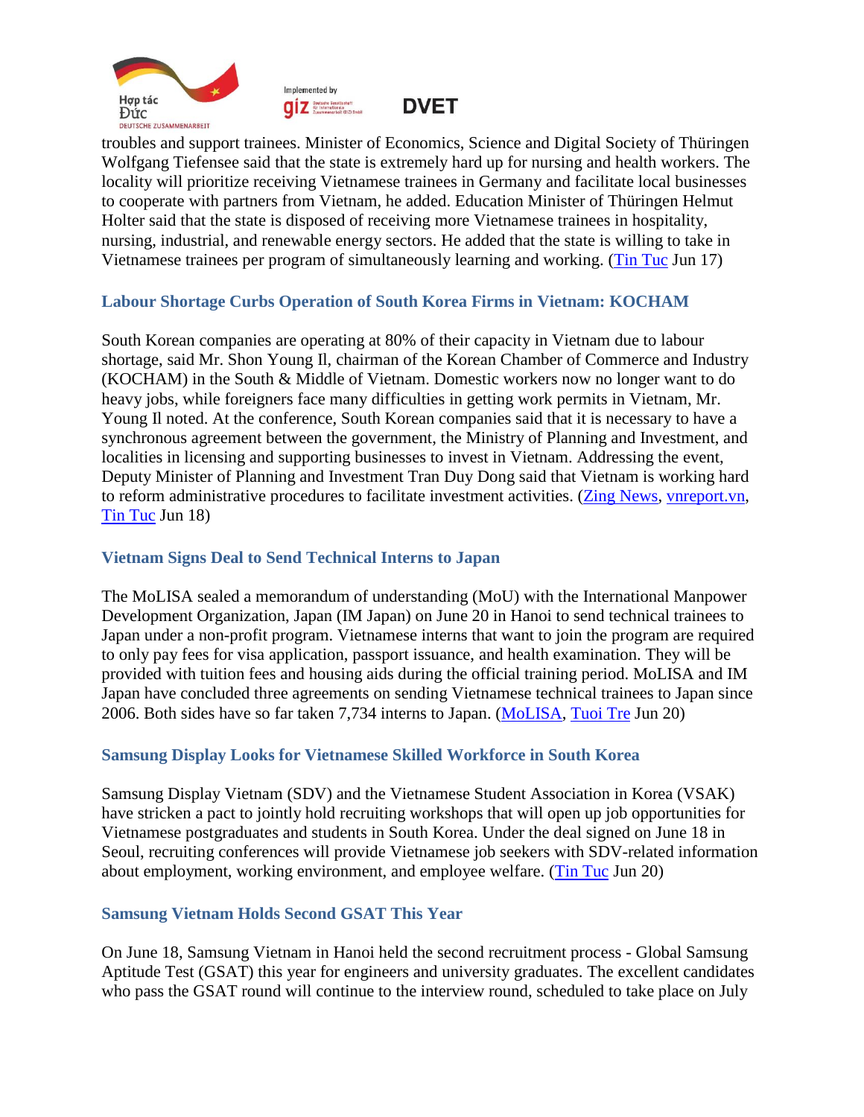





troubles and support trainees. Minister of Economics, Science and Digital Society of Thüringen Wolfgang Tiefensee said that the state is extremely hard up for nursing and health workers. The locality will prioritize receiving Vietnamese trainees in Germany and facilitate local businesses to cooperate with partners from Vietnam, he added. Education Minister of Thüringen Helmut Holter said that the state is disposed of receiving more Vietnamese trainees in hospitality, nursing, industrial, and renewable energy sectors. He added that the state is willing to take in Vietnamese trainees per program of simultaneously learning and working. [\(Tin Tuc](https://baotintuc.vn/kinh-te/nguon-nhan-luc-va-dao-tao-nghe-moi-quan-tam-cua-duc-va-viet-nam-20220617102421173.htm) Jun 17)

### <span id="page-4-0"></span>**Labour Shortage Curbs Operation of South Korea Firms in Vietnam: KOCHAM**

South Korean companies are operating at 80% of their capacity in Vietnam due to labour shortage, said Mr. Shon Young Il, chairman of the Korean Chamber of Commerce and Industry (KOCHAM) in the South & Middle of Vietnam. Domestic workers now no longer want to do heavy jobs, while foreigners face many difficulties in getting work permits in Vietnam, Mr. Young Il noted. At the conference, South Korean companies said that it is necessary to have a synchronous agreement between the government, the Ministry of Planning and Investment, and localities in licensing and supporting businesses to invest in Vietnam. Addressing the event, Deputy Minister of Planning and Investment Tran Duy Dong said that Vietnam is working hard to reform administrative procedures to facilitate investment activities. [\(Zing News,](https://zingnews.vn/kocham-doanh-nghiep-han-quoc-chi-hoat-dong-duoc-80-cong-suat-post1327507.html) [vnreport.vn,](https://vnreport.vn/doanh-nghiep-han-quoc-thieu-lao-dong-o-viet-nam/#related) [Tin Tuc](https://baotintuc.vn/thoi-su/thuc-day-hop-tac-viet-nam-han-quoc-trong-linh-vuc-dau-tu-va-doi-moi-sang-tao-20220617204143483.htm#related) Jun 18)

#### <span id="page-4-1"></span>**Vietnam Signs Deal to Send Technical Interns to Japan**

The MoLISA sealed a memorandum of understanding (MoU) with the International Manpower Development Organization, Japan (IM Japan) on June 20 in Hanoi to send technical trainees to Japan under a non-profit program. Vietnamese interns that want to join the program are required to only pay fees for visa application, passport issuance, and health examination. They will be provided with tuition fees and housing aids during the official training period. MoLISA and IM Japan have concluded three agreements on sending Vietnamese technical trainees to Japan since 2006. Both sides have so far taken 7,734 interns to Japan. [\(MoLISA,](http://www.molisa.gov.vn/Pages/tintuc/chitiet.aspx?tintucID=231509) [Tuoi Tre](https://tuoitre.vn/thuc-tap-o-nhat-ban-ve-nuoc-nhan-ho-tro-khoi-nghiep-len-toi-180-trieu-dong-20220620113008843.htm#related) Jun 20)

#### <span id="page-4-2"></span>**Samsung Display Looks for Vietnamese Skilled Workforce in South Korea**

Samsung Display Vietnam (SDV) and the Vietnamese Student Association in Korea (VSAK) have stricken a pact to jointly hold recruiting workshops that will open up job opportunities for Vietnamese postgraduates and students in South Korea. Under the deal signed on June 18 in Seoul, recruiting conferences will provide Vietnamese job seekers with SDV-related information about employment, working environment, and employee welfare. [\(Tin Tuc](https://baotintuc.vn/doanh-nghiep-doanh-nhan/samsung-display-viet-nam-tim-nguon-nhan-luc-chat-luong-cao-duoc-dao-tao-tai-han-quoc-20220620132706118.htm) Jun 20)

#### <span id="page-4-3"></span>**Samsung Vietnam Holds Second GSAT This Year**

On June 18, Samsung Vietnam in Hanoi held the second recruitment process - Global Samsung Aptitude Test (GSAT) this year for engineers and university graduates. The excellent candidates who pass the GSAT round will continue to the interview round, scheduled to take place on July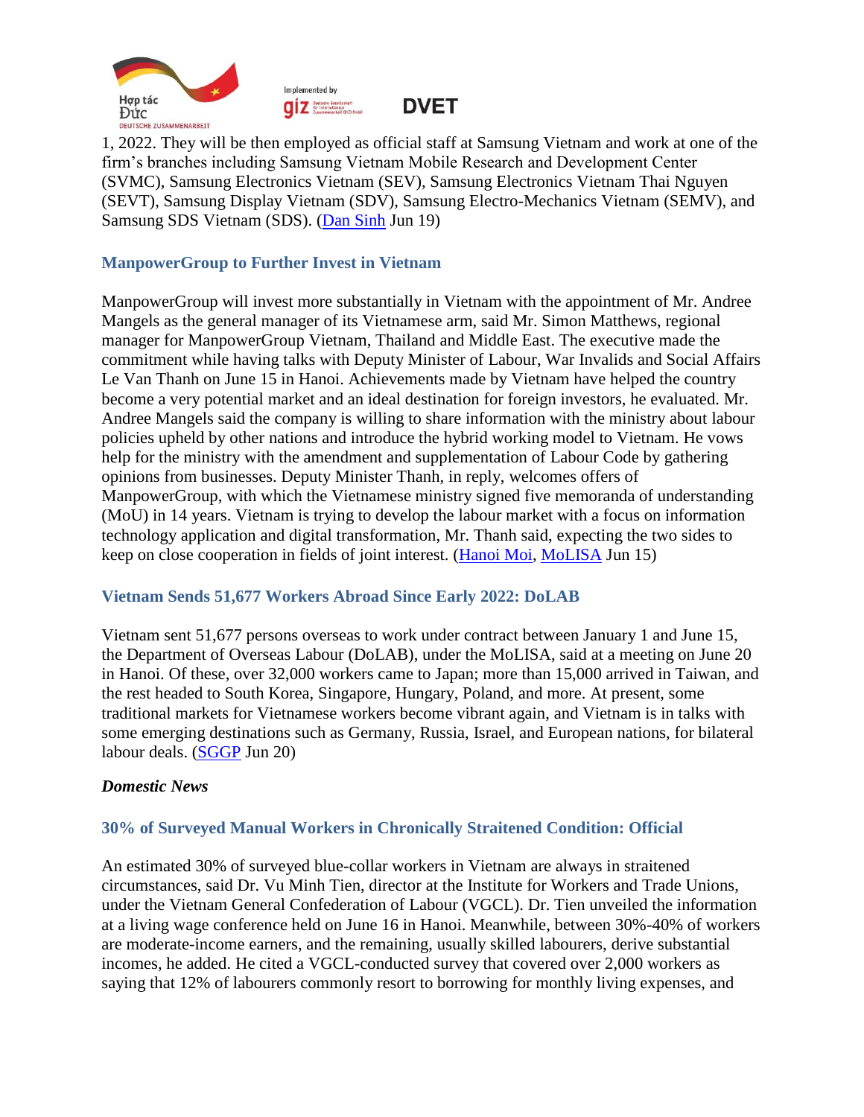



1, 2022. They will be then employed as official staff at Samsung Vietnam and work at one of the firm's branches including Samsung Vietnam Mobile Research and Development Center (SVMC), Samsung Electronics Vietnam (SEV), Samsung Electronics Vietnam Thai Nguyen (SEVT), Samsung Display Vietnam (SDV), Samsung Electro-Mechanics Vietnam (SEMV), and Samsung SDS Vietnam (SDS). [\(Dan Sinh](https://baodansinh.vn/samsung-viet-nam-to-chuc-ky-thi-tuyen-dung-gsat-lan-thu-2-20220619093115.htm) Jun 19)

#### <span id="page-5-0"></span>**ManpowerGroup to Further Invest in Vietnam**

ManpowerGroup will invest more substantially in Vietnam with the appointment of Mr. Andree Mangels as the general manager of its Vietnamese arm, said Mr. Simon Matthews, regional manager for ManpowerGroup Vietnam, Thailand and Middle East. The executive made the commitment while having talks with Deputy Minister of Labour, War Invalids and Social Affairs Le Van Thanh on June 15 in Hanoi. Achievements made by Vietnam have helped the country become a very potential market and an ideal destination for foreign investors, he evaluated. Mr. Andree Mangels said the company is willing to share information with the ministry about labour policies upheld by other nations and introduce the hybrid working model to Vietnam. He vows help for the ministry with the amendment and supplementation of Labour Code by gathering opinions from businesses. Deputy Minister Thanh, in reply, welcomes offers of ManpowerGroup, with which the Vietnamese ministry signed five memoranda of understanding (MoU) in 14 years. Vietnam is trying to develop the labour market with a focus on information technology application and digital transformation, Mr. Thanh said, expecting the two sides to keep on close cooperation in fields of joint interest. [\(Hanoi Moi,](http://www.hanoimoi.com.vn/tin-tuc/Xa-hoi/1034609/tang-cuong-hop-tac-quoc-te-ve-lao-dong-viec-lam) [MoLISA](http://www.molisa.gov.vn/Pages/tintuc/chuyenmuc.aspx?ChuyenMucID=32#related) Jun 15)

#### <span id="page-5-1"></span>**Vietnam Sends 51,677 Workers Abroad Since Early 2022: DoLAB**

Vietnam sent 51,677 persons overseas to work under contract between January 1 and June 15, the Department of Overseas Labour (DoLAB), under the MoLISA, said at a meeting on June 20 in Hanoi. Of these, over 32,000 workers came to Japan; more than 15,000 arrived in Taiwan, and the rest headed to South Korea, Singapore, Hungary, Poland, and more. At present, some traditional markets for Vietnamese workers become vibrant again, and Vietnam is in talks with some emerging destinations such as Germany, Russia, Israel, and European nations, for bilateral labour deals. [\(SGGP](https://www.sggp.org.vn/nong-lai-thi-truong-lao-dong-nuoc-ngoai-822024.html) Jun 20)

#### <span id="page-5-2"></span>*Domestic News*

#### <span id="page-5-3"></span>**30% of Surveyed Manual Workers in Chronically Straitened Condition: Official**

An estimated 30% of surveyed blue-collar workers in Vietnam are always in straitened circumstances, said Dr. Vu Minh Tien, director at the Institute for Workers and Trade Unions, under the Vietnam General Confederation of Labour (VGCL). Dr. Tien unveiled the information at a living wage conference held on June 16 in Hanoi. Meanwhile, between 30%-40% of workers are moderate-income earners, and the remaining, usually skilled labourers, derive substantial incomes, he added. He cited a VGCL-conducted survey that covered over 2,000 workers as saying that 12% of labourers commonly resort to borrowing for monthly living expenses, and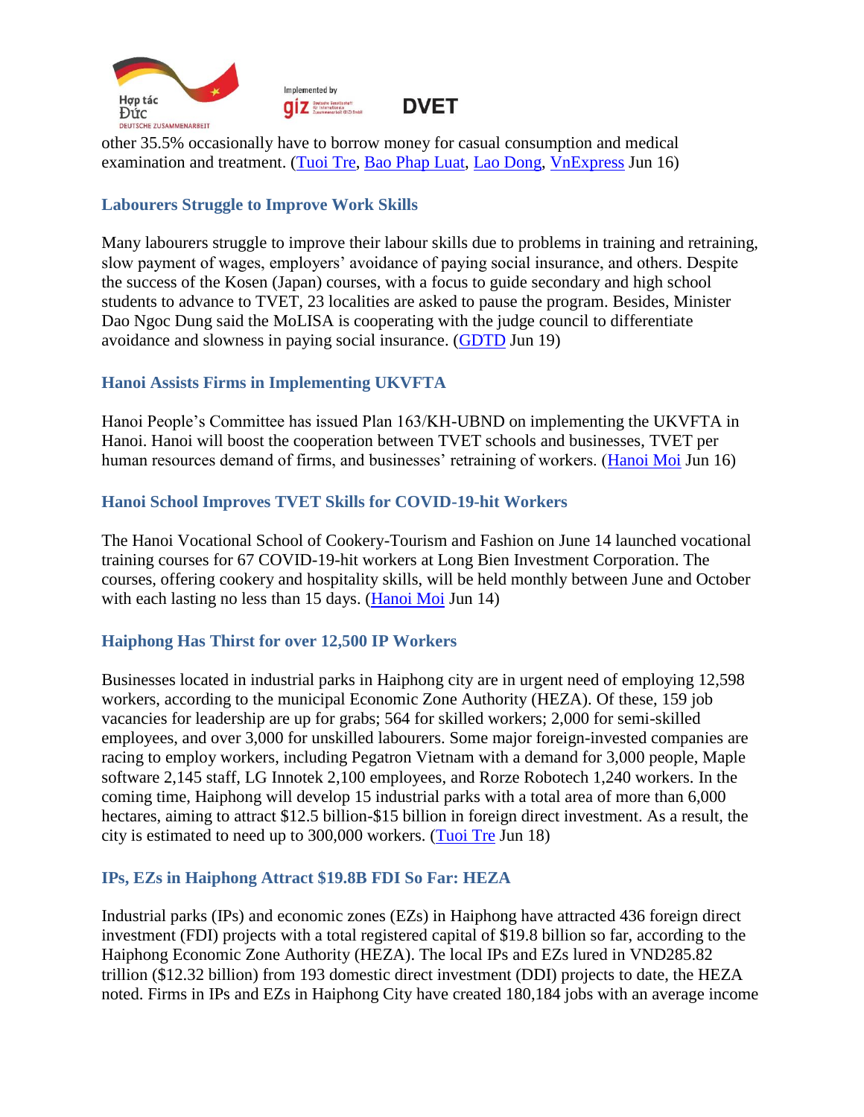

other 35.5% occasionally have to borrow money for casual consumption and medical examination and treatment. [\(Tuoi Tre,](https://tuoitre.vn/30-cong-nhan-lao-dong-luon-trong-tinh-trang-kho-khan-20220616141158009.htm) [Bao Phap Luat,](https://baophapluat.vn/30-cong-nhan-thuong-xuyen-tung-thieu-post451358.html#related) [Lao Dong,](https://laodong.vn/cong-doan/khao-sat-nhieu-cong-nhan-phai-di-vay-de-trang-trai-cuoc-song-1057177.ldo#related) [VnExpress](https://vnexpress.net/30-cong-nhan-thuong-xuyen-tung-thieu-4476917.html#related) Jun 16)

### <span id="page-6-0"></span>**Labourers Struggle to Improve Work Skills**

Many labourers struggle to improve their labour skills due to problems in training and retraining, slow payment of wages, employers' avoidance of paying social insurance, and others. Despite the success of the Kosen (Japan) courses, with a focus to guide secondary and high school students to advance to TVET, 23 localities are asked to pause the program. Besides, Minister Dao Ngoc Dung said the MoLISA is cooperating with the judge council to differentiate avoidance and slowness in paying social insurance. [\(GDTD](https://giaoducthoidai.vn/thoi-su/nang-cao-ky-nang-nghe-kho-dot-pha-vi-nguoi-lao-dong-con-gap-kho-VeD9ICj7g.html) Jun 19)

### <span id="page-6-1"></span>**Hanoi Assists Firms in Implementing UKVFTA**

Hanoi People's Committee has issued Plan 163/KH-UBND on implementing the UKVFTA in Hanoi. Hanoi will boost the cooperation between TVET schools and businesses, TVET per human resources demand of firms, and businesses' retraining of workers. [\(Hanoi Moi](http://www.hanoimoi.com.vn/tin-tuc/Kinh-te/1034653/ho-tro-doanh-nghiep-trong-thuc-hien-hiep-dinh-thuong-mai-tu-do-giua-viet-nam-va-ukvfta) Jun 16)

### <span id="page-6-2"></span>**Hanoi School Improves TVET Skills for COVID-19-hit Workers**

The Hanoi Vocational School of Cookery-Tourism and Fashion on June 14 launched vocational training courses for 67 COVID-19-hit workers at Long Bien Investment Corporation. The courses, offering cookery and hospitality skills, will be held monthly between June and October with each lasting no less than 15 days. [\(Hanoi Moi](http://www.hanoimoi.com.vn/tin-tuc/Xa-hoi/1034501/nang-cao-ky-nang-nghe-cho-nguoi-lao-dong-bi-anh-huong-boi-dai-dich-covid-19) Jun 14)

## <span id="page-6-3"></span>**Haiphong Has Thirst for over 12,500 IP Workers**

Businesses located in industrial parks in Haiphong city are in urgent need of employing 12,598 workers, according to the municipal Economic Zone Authority (HEZA). Of these, 159 job vacancies for leadership are up for grabs; 564 for skilled workers; 2,000 for semi-skilled employees, and over 3,000 for unskilled labourers. Some major foreign-invested companies are racing to employ workers, including Pegatron Vietnam with a demand for 3,000 people, Maple software 2,145 staff, LG Innotek 2,100 employees, and Rorze Robotech 1,240 workers. In the coming time, Haiphong will develop 15 industrial parks with a total area of more than 6,000 hectares, aiming to attract \$12.5 billion-\$15 billion in foreign direct investment. As a result, the city is estimated to need up to 300,000 workers. [\(Tuoi Tre](https://tuoitre.vn/hai-phong-dang-khat-hon-12-500-lao-dong-trong-cac-khu-cong-nghiep-20220618115037031.htm) Jun 18)

## <span id="page-6-4"></span>**IPs, EZs in Haiphong Attract \$19.8B FDI So Far: HEZA**

Industrial parks (IPs) and economic zones (EZs) in Haiphong have attracted 436 foreign direct investment (FDI) projects with a total registered capital of \$19.8 billion so far, according to the Haiphong Economic Zone Authority (HEZA). The local IPs and EZs lured in VND285.82 trillion (\$12.32 billion) from 193 domestic direct investment (DDI) projects to date, the HEZA noted. Firms in IPs and EZs in Haiphong City have created 180,184 jobs with an average income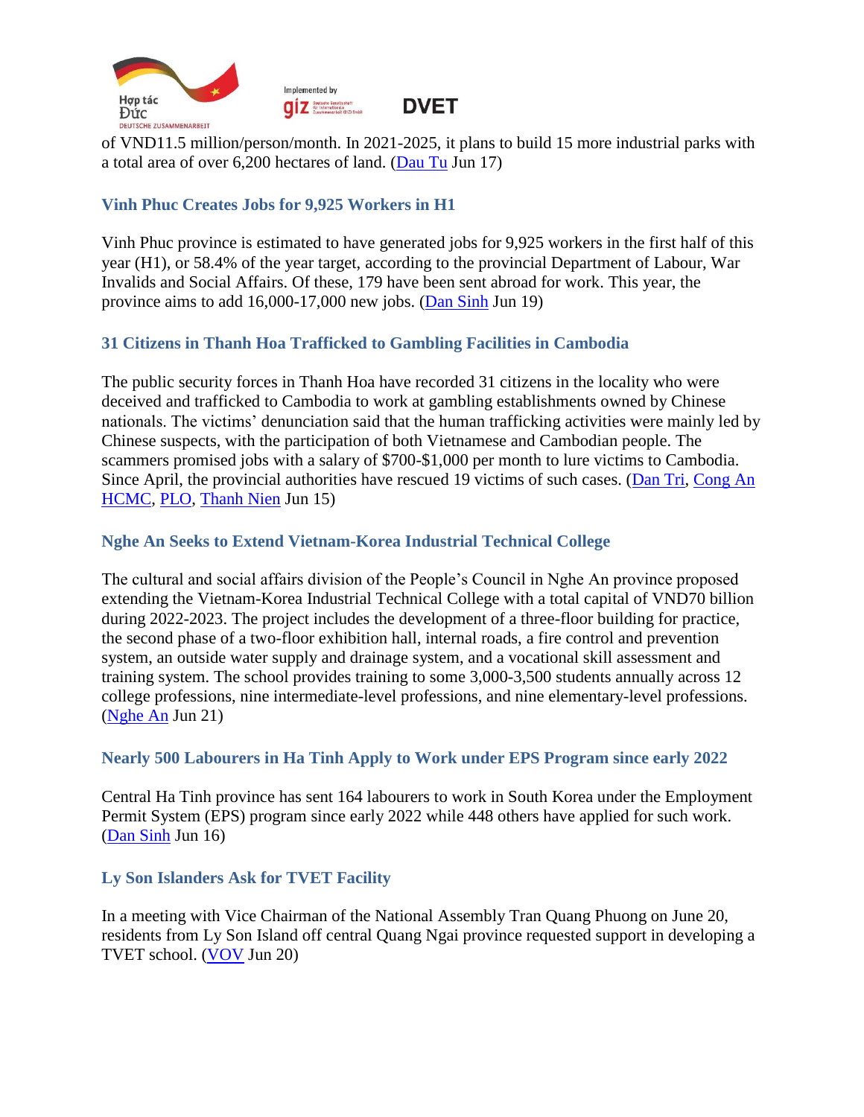



of VND11.5 million/person/month. In 2021-2025, it plans to build 15 more industrial parks with a total area of over 6,200 hectares of land. [\(Dau Tu](https://baodautu.vn/thanh-lap-to-chuc-cong-doan-co-so-tai-cac-doanh-nghiep-trong-kcn-kkt-tai-hai-phong-d167976.html) Jun 17)

### <span id="page-7-0"></span>**Vinh Phuc Creates Jobs for 9,925 Workers in H1**

Vinh Phuc province is estimated to have generated jobs for 9,925 workers in the first half of this year (H1), or 58.4% of the year target, according to the provincial Department of Labour, War Invalids and Social Affairs. Of these, 179 have been sent abroad for work. This year, the province aims to add 16,000-17,000 new jobs. [\(Dan Sinh](https://baodansinh.vn/vinh-phuc-giai-quyet-viec-lam-cho-gan-10000-lao-dong-20220619080524.htm) Jun 19)

### <span id="page-7-1"></span>**31 Citizens in Thanh Hoa Trafficked to Gambling Facilities in Cambodia**

The public security forces in Thanh Hoa have recorded 31 citizens in the locality who were deceived and trafficked to Cambodia to work at gambling establishments owned by Chinese nationals. The victims' denunciation said that the human trafficking activities were mainly led by Chinese suspects, with the participation of both Vietnamese and Cambodian people. The scammers promised jobs with a salary of \$700-\$1,000 per month to lure victims to Cambodia. Since April, the provincial authorities have rescued 19 victims of such cases. [\(Dan Tri,](https://dantri.com.vn/lao-dong-viec-lam/bay-viec-nhe-luong-cao-tai-campuchia-deu-do-nguoi-trung-quoc-dao-dien-20220614184909250.htm) [Cong An](https://congan.com.vn/vu-an/canh-giac/sang-campuchia-lam-viec-nhieu-nguoi-bi-thu-tieu-bat-giu-doi-tien-chuoc_132519.html#related)  [HCMC,](https://congan.com.vn/vu-an/canh-giac/sang-campuchia-lam-viec-nhieu-nguoi-bi-thu-tieu-bat-giu-doi-tien-chuoc_132519.html#related) [PLO,](https://plo.vn/4-cong-dan-thanh-hoa-bi-giam-giu-trai-phep-o-campuchia-post683883.html#related) [Thanh Nien](https://thanhnien.vn/thanh-hoa-canh-bao-nguoi-dan-bi-lua-ban-sang-cac-co-so-danh-bac-o-campuchia-post1467142.html#related) Jun 15)

### <span id="page-7-2"></span>**Nghe An Seeks to Extend Vietnam-Korea Industrial Technical College**

The cultural and social affairs division of the People's Council in Nghe An province proposed extending the Vietnam-Korea Industrial Technical College with a total capital of VND70 billion during 2022-2023. The project includes the development of a three-floor building for practice, the second phase of a two-floor exhibition hall, internal roads, a fire control and prevention system, an outside water supply and drainage system, and a vocational skill assessment and training system. The school provides training to some 3,000-3,500 students annually across 12 college professions, nine intermediate-level professions, and nine elementary-level professions. [\(Nghe An](https://baonghean.vn/de-xuat-hdnd-tinh-nghe-an-thong-qua-chu-truong-dau-tu-du-an-truong-cao-dang-ky-thuat-cong-nghiep-viet-nam-han-quoc-post255220.html) Jun 21)

### <span id="page-7-3"></span>**Nearly 500 Labourers in Ha Tinh Apply to Work under EPS Program since early 2022**

Central Ha Tinh province has sent 164 labourers to work in South Korea under the Employment Permit System (EPS) program since early 2022 while 448 others have applied for such work. [\(Dan Sinh](https://baodansinh.vn/ha-tinh-gan-500-lao-dong-dang-ky-nop-ho-so-xuat-canh-theo-chuong-trinh-eps-20220615192248.htm) Jun 16)

## <span id="page-7-4"></span>**Ly Son Islanders Ask for TVET Facility**

In a meeting with Vice Chairman of the National Assembly Tran Quang Phuong on June 20, residents from Ly Son Island off central Quang Ngai province requested support in developing a TVET school. [\(VOV](https://vov.vn/chinh-tri/pho-chu-tich-quoc-hoi-tran-quang-phuong-tiep-xuc-cu-tri-huyen-dao-ly-son-post951649.vov) Jun 20)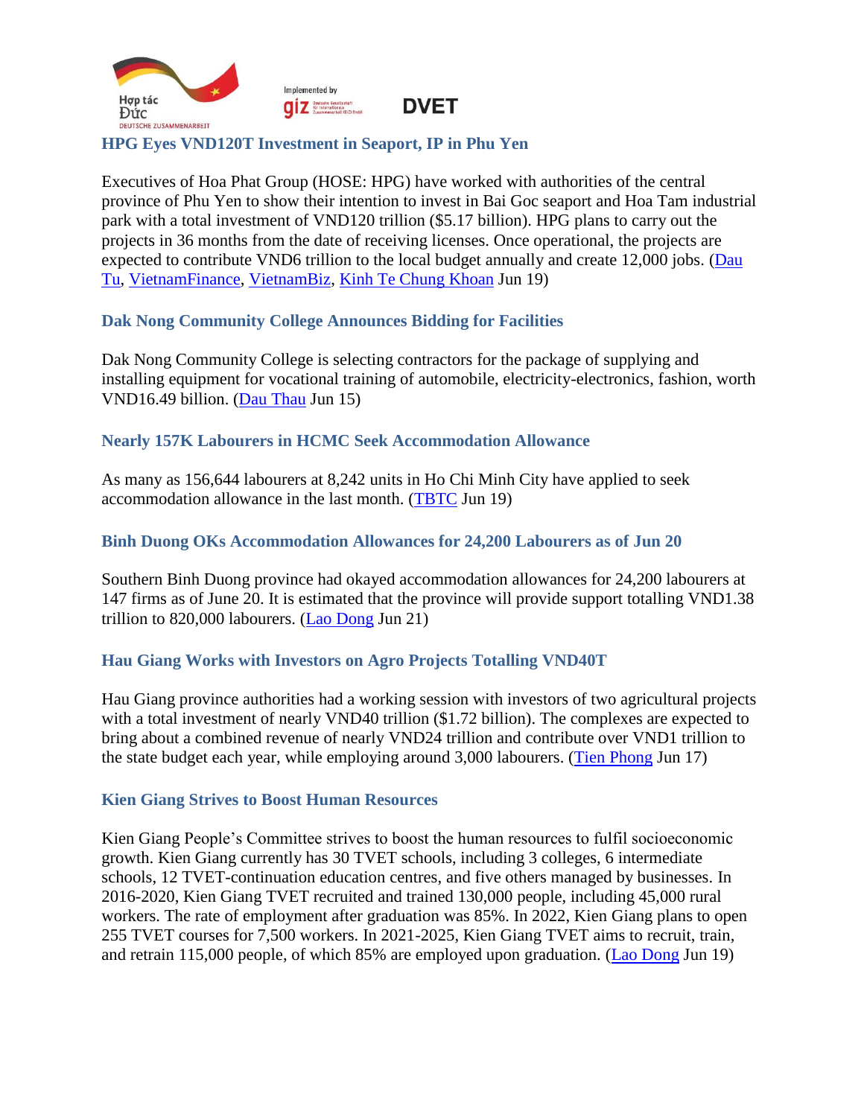

#### <span id="page-8-0"></span>**HPG Eyes VND120T Investment in Seaport, IP in Phu Yen**

Executives of Hoa Phat Group (HOSE: HPG) have worked with authorities of the central province of Phu Yen to show their intention to invest in Bai Goc seaport and Hoa Tam industrial park with a total investment of VND120 trillion (\$5.17 billion). HPG plans to carry out the projects in 36 months from the date of receiving licenses. Once operational, the projects are expected to contribute VND6 trillion to the local budget annually and create 12,000 jobs. (Dau [Tu,](https://baodautu.vn/hoa-phat-muon-dau-tu-to-hop-du-an-khoang-120000-ty-dong-vao-phu-yen-d168117.html) [VietnamFinance,](https://vietnamfinance.vn/hoa-phat-muon-dau-tu-2-du-an-tai-phu-yen-tong-muc-dau-tu-khoang-120000-ty-dong-20180504224269944.htm#related) [VietnamBiz,](https://vietnambiz.vn/hoa-phat-muon-dau-tu-hai-du-an-120000-ty-tai-phu-yen-202261922405768.htm#related) [Kinh Te Chung Khoan](https://kinhtechungkhoan.vn/tap-doan-hoa-phat-muon-dau-tu-hai-du-an-120000-ty-dong-tai-phu-yen-136394.html#related) Jun 19)

#### <span id="page-8-1"></span>**Dak Nong Community College Announces Bidding for Facilities**

Dak Nong Community College is selecting contractors for the package of supplying and installing equipment for vocational training of automobile, electricity-electronics, fashion, worth VND16.49 billion. [\(Dau Thau](https://baodauthau.vn/diem-tin-ke-hoach-lua-chon-nha-thau-mot-so-goi-thau-lon-ngay-13-6-post125031.html) Jun 15)

#### <span id="page-8-2"></span>**Nearly 157K Labourers in HCMC Seek Accommodation Allowance**

As many as 156,644 labourers at 8,242 units in Ho Chi Minh City have applied to seek accommodation allowance in the last month. [\(TBTC](https://thoibaotaichinhvietnam.vn/tphcm-gan-157-nghin-ho-so-lao-dong-de-nghi-ho-tro-tien-thue-nha-107086.html) Jun 19)

#### <span id="page-8-3"></span>**Binh Duong OKs Accommodation Allowances for 24,200 Labourers as of Jun 20**

Southern Binh Duong province had okayed accommodation allowances for 24,200 labourers at 147 firms as of June 20. It is estimated that the province will provide support totalling VND1.38 trillion to 820,000 labourers. [\(Lao Dong](https://laodong.vn/cong-doan/binh-duong-moi-phe-duyet-cho-24200-lao-dong-huong-ho-tro-tien-thue-nha-1058841.ldo) Jun 21)

### <span id="page-8-4"></span>**Hau Giang Works with Investors on Agro Projects Totalling VND40T**

Hau Giang province authorities had a working session with investors of two agricultural projects with a total investment of nearly VND40 trillion (\$1.72 billion). The complexes are expected to bring about a combined revenue of nearly VND24 trillion and contribute over VND1 trillion to the state budget each year, while employing around 3,000 labourers. [\(Tien Phong](https://tienphong.vn/hai-dai-du-an-nong-nghiep-tuan-hoan-gan-40-000-ty-dong-o-hau-giang-post1446702.tpo) Jun 17)

#### <span id="page-8-5"></span>**Kien Giang Strives to Boost Human Resources**

Kien Giang People's Committee strives to boost the human resources to fulfil socioeconomic growth. Kien Giang currently has 30 TVET schools, including 3 colleges, 6 intermediate schools, 12 TVET-continuation education centres, and five others managed by businesses. In 2016-2020, Kien Giang TVET recruited and trained 130,000 people, including 45,000 rural workers. The rate of employment after graduation was 85%. In 2022, Kien Giang plans to open 255 TVET courses for 7,500 workers. In 2021-2025, Kien Giang TVET aims to recruit, train, and retrain 115,000 people, of which 85% are employed upon graduation. [\(Lao Dong](https://laodong.vn/xa-hoi/kien-giang-nang-cao-chat-luong-nguon-nhan-luc-dap-ung-phat-trien-kinh-te-1058217.ldo) Jun 19)